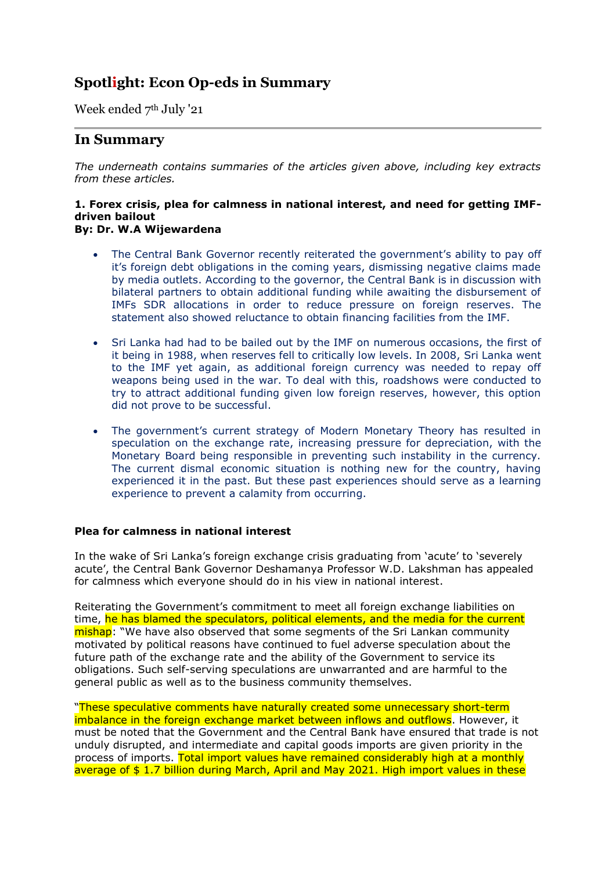# **Spotlight: Econ Op-eds in Summary**

Week ended 7<sup>th</sup> July '21

# **In Summary**

*The underneath contains summaries of the articles given above, including key extracts from these articles.*

# **1. Forex crisis, plea for calmness in national interest, and need for getting IMFdriven bailout**

# **By: Dr. W.A Wijewardena**

- The Central Bank Governor recently reiterated the government's ability to pay off it's foreign debt obligations in the coming years, dismissing negative claims made by media outlets. According to the governor, the Central Bank is in discussion with bilateral partners to obtain additional funding while awaiting the disbursement of IMFs SDR allocations in order to reduce pressure on foreign reserves. The statement also showed reluctance to obtain financing facilities from the IMF.
- Sri Lanka had had to be bailed out by the IMF on numerous occasions, the first of it being in 1988, when reserves fell to critically low levels. In 2008, Sri Lanka went to the IMF yet again, as additional foreign currency was needed to repay off weapons being used in the war. To deal with this, roadshows were conducted to try to attract additional funding given low foreign reserves, however, this option did not prove to be successful.
- The government's current strategy of Modern Monetary Theory has resulted in speculation on the exchange rate, increasing pressure for depreciation, with the Monetary Board being responsible in preventing such instability in the currency. The current dismal economic situation is nothing new for the country, having experienced it in the past. But these past experiences should serve as a learning experience to prevent a calamity from occurring.

# **Plea for calmness in national interest**

In the wake of Sri Lanka's foreign exchange crisis graduating from 'acute' to 'severely acute', the Central Bank Governor Deshamanya Professor W.D. Lakshman has appealed for calmness which everyone should do in his view in national interest.

Reiterating the Government's commitment to meet all foreign exchange liabilities on time, he has blamed the speculators, political elements, and the media for the current mishap: "We have also observed that some segments of the Sri Lankan community motivated by political reasons have continued to fuel adverse speculation about the future path of the exchange rate and the ability of the Government to service its obligations. Such self-serving speculations are unwarranted and are harmful to the general public as well as to the business community themselves.

"These speculative comments have naturally created some unnecessary short-term imbalance in the foreign exchange market between inflows and outflows. However, it must be noted that the Government and the Central Bank have ensured that trade is not unduly disrupted, and intermediate and capital goods imports are given priority in the process of imports. Total import values have remained considerably high at a monthly average of \$1.7 billion during March, April and May 2021. High import values in these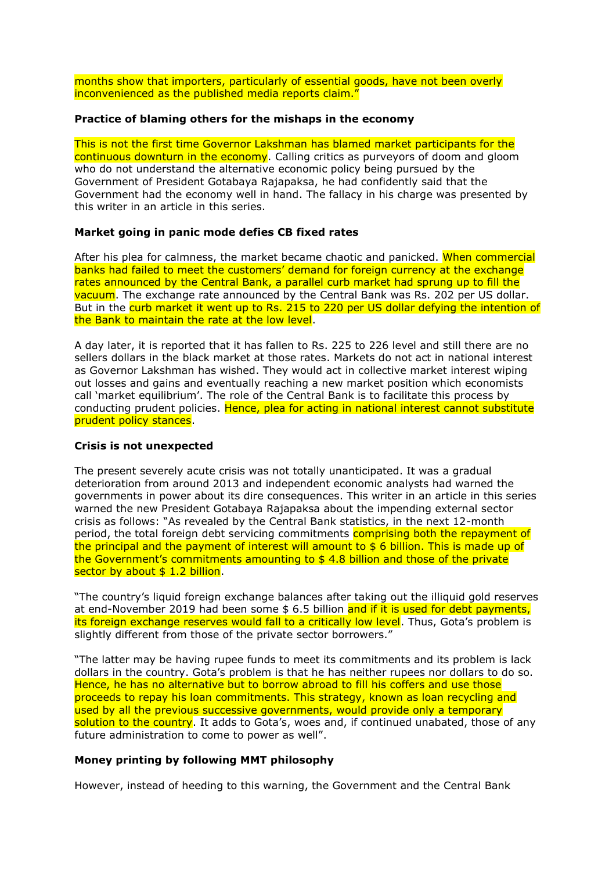months show that importers, particularly of essential goods, have not been overly inconvenienced as the published media reports claim."

## **Practice of blaming others for the mishaps in the economy**

This is not the first time Governor Lakshman has blamed market participants for the continuous downturn in the economy. Calling critics as purveyors of doom and gloom who do not understand the alternative economic policy being pursued by the Government of President Gotabaya Rajapaksa, he had confidently said that the Government had the economy well in hand. The fallacy in his charge was presented by this writer in an article in this series.

## **Market going in panic mode defies CB fixed rates**

After his plea for calmness, the market became chaotic and panicked. When commercial banks had failed to meet the customers' demand for foreign currency at the exchange rates announced by the Central Bank, a parallel curb market had sprung up to fill the vacuum. The exchange rate announced by the Central Bank was Rs. 202 per US dollar. But in the curb market it went up to Rs. 215 to 220 per US dollar defying the intention of the Bank to maintain the rate at the low level.

A day later, it is reported that it has fallen to Rs. 225 to 226 level and still there are no sellers dollars in the black market at those rates. Markets do not act in national interest as Governor Lakshman has wished. They would act in collective market interest wiping out losses and gains and eventually reaching a new market position which economists call 'market equilibrium'. The role of the Central Bank is to facilitate this process by conducting prudent policies. Hence, plea for acting in national interest cannot substitute prudent policy stances.

#### **Crisis is not unexpected**

The present severely acute crisis was not totally unanticipated. It was a gradual deterioration from around 2013 and independent economic analysts had warned the governments in power about its dire consequences. This writer in an article in this series warned the new President Gotabaya Rajapaksa about the impending external sector crisis as follows: "As revealed by the Central Bank statistics, in the next 12-month period, the total foreign debt servicing commitments comprising both the repayment of the principal and the payment of interest will amount to  $$6$  billion. This is made up of the Government's commitments amounting to \$ 4.8 billion and those of the private sector by about \$ 1.2 billion.

"The country's liquid foreign exchange balances after taking out the illiquid gold reserves at end-November 2019 had been some \$ 6.5 billion and if it is used for debt payments. its foreign exchange reserves would fall to a critically low level. Thus, Gota's problem is slightly different from those of the private sector borrowers."

"The latter may be having rupee funds to meet its commitments and its problem is lack dollars in the country. Gota's problem is that he has neither rupees nor dollars to do so. Hence, he has no alternative but to borrow abroad to fill his coffers and use those proceeds to repay his loan commitments. This strategy, known as loan recycling and used by all the previous successive governments, would provide only a temporary solution to the country. It adds to Gota's, woes and, if continued unabated, those of any future administration to come to power as well".

## **Money printing by following MMT philosophy**

However, instead of heeding to this warning, the Government and the Central Bank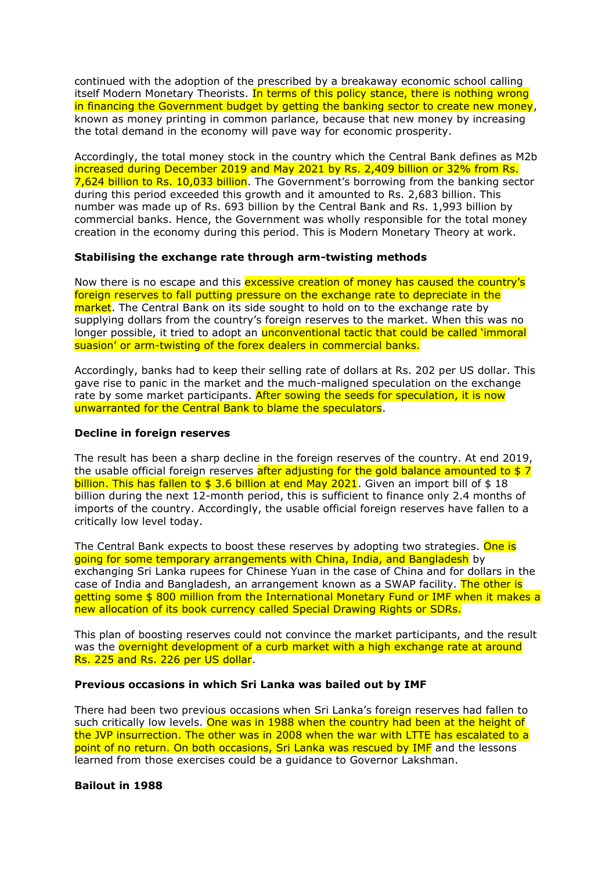continued with the adoption of the prescribed by a breakaway economic school calling itself Modern Monetary Theorists. In terms of this policy stance, there is nothing wrong in financing the Government budget by getting the banking sector to create new money, known as money printing in common parlance, because that new money by increasing the total demand in the economy will pave way for economic prosperity.

Accordingly, the total money stock in the country which the Central Bank defines as M2b increased during December 2019 and May 2021 by Rs. 2,409 billion or 32% from Rs. 7,624 billion to Rs. 10,033 billion. The Government's borrowing from the banking sector during this period exceeded this growth and it amounted to Rs. 2,683 billion. This number was made up of Rs. 693 billion by the Central Bank and Rs. 1,993 billion by commercial banks. Hence, the Government was wholly responsible for the total money creation in the economy during this period. This is Modern Monetary Theory at work.

## **Stabilising the exchange rate through arm-twisting methods**

Now there is no escape and this excessive creation of money has caused the country's foreign reserves to fall putting pressure on the exchange rate to depreciate in the market. The Central Bank on its side sought to hold on to the exchange rate by supplying dollars from the country's foreign reserves to the market. When this was no longer possible, it tried to adopt an *unconventional tactic that could be called 'immoral* suasion' or arm-twisting of the forex dealers in commercial banks.

Accordingly, banks had to keep their selling rate of dollars at Rs. 202 per US dollar. This gave rise to panic in the market and the much-maligned speculation on the exchange rate by some market participants. After sowing the seeds for speculation, it is now unwarranted for the Central Bank to blame the speculators.

## **Decline in foreign reserves**

The result has been a sharp decline in the foreign reserves of the country. At end 2019, the usable official foreign reserves after adjusting for the gold balance amounted to \$7 billion. This has fallen to \$ 3.6 billion at end May 2021. Given an import bill of \$ 18 billion during the next 12-month period, this is sufficient to finance only 2.4 months of imports of the country. Accordingly, the usable official foreign reserves have fallen to a critically low level today.

The Central Bank expects to boost these reserves by adopting two strategies. One is going for some temporary arrangements with China, India, and Bangladesh by exchanging Sri Lanka rupees for Chinese Yuan in the case of China and for dollars in the case of India and Bangladesh, an arrangement known as a SWAP facility. The other is getting some \$ 800 million from the International Monetary Fund or IMF when it makes a new allocation of its book currency called Special Drawing Rights or SDRs.

This plan of boosting reserves could not convince the market participants, and the result was the overnight development of a curb market with a high exchange rate at around Rs. 225 and Rs. 226 per US dollar.

#### **Previous occasions in which Sri Lanka was bailed out by IMF**

There had been two previous occasions when Sri Lanka's foreign reserves had fallen to such critically low levels. One was in 1988 when the country had been at the height of the JVP insurrection. The other was in 2008 when the war with LTTE has escalated to a point of no return. On both occasions, Sri Lanka was rescued by IMF and the lessons learned from those exercises could be a guidance to Governor Lakshman.

#### **Bailout in 1988**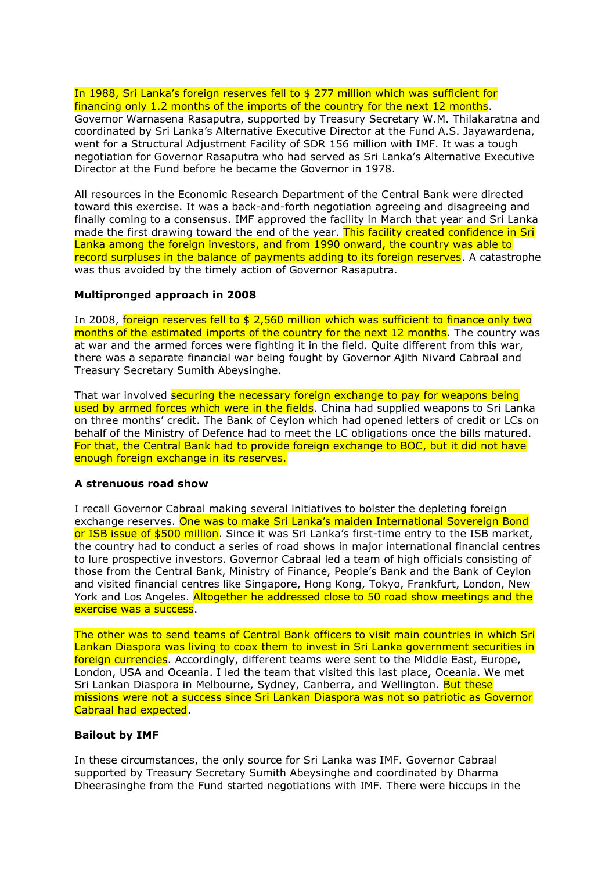In 1988, Sri Lanka's foreign reserves fell to \$ 277 million which was sufficient for financing only 1.2 months of the imports of the country for the next 12 months. Governor Warnasena Rasaputra, supported by Treasury Secretary W.M. Thilakaratna and coordinated by Sri Lanka's Alternative Executive Director at the Fund A.S. Jayawardena, went for a Structural Adjustment Facility of SDR 156 million with IMF. It was a tough negotiation for Governor Rasaputra who had served as Sri Lanka's Alternative Executive Director at the Fund before he became the Governor in 1978.

All resources in the Economic Research Department of the Central Bank were directed toward this exercise. It was a back-and-forth negotiation agreeing and disagreeing and finally coming to a consensus. IMF approved the facility in March that year and Sri Lanka made the first drawing toward the end of the year. This facility created confidence in Sri Lanka among the foreign investors, and from 1990 onward, the country was able to record surpluses in the balance of payments adding to its foreign reserves. A catastrophe was thus avoided by the timely action of Governor Rasaputra.

## **Multipronged approach in 2008**

In 2008, foreign reserves fell to \$ 2,560 million which was sufficient to finance only two months of the estimated imports of the country for the next 12 months. The country was at war and the armed forces were fighting it in the field. Quite different from this war, there was a separate financial war being fought by Governor Ajith Nivard Cabraal and Treasury Secretary Sumith Abeysinghe.

That war involved securing the necessary foreign exchange to pay for weapons being used by armed forces which were in the fields. China had supplied weapons to Sri Lanka on three months' credit. The Bank of Ceylon which had opened letters of credit or LCs on behalf of the Ministry of Defence had to meet the LC obligations once the bills matured. For that, the Central Bank had to provide foreign exchange to BOC, but it did not have enough foreign exchange in its reserves.

#### **A strenuous road show**

I recall Governor Cabraal making several initiatives to bolster the depleting foreign exchange reserves. One was to make Sri Lanka's maiden International Sovereign Bond or ISB issue of \$500 million. Since it was Sri Lanka's first-time entry to the ISB market, the country had to conduct a series of road shows in major international financial centres to lure prospective investors. Governor Cabraal led a team of high officials consisting of those from the Central Bank, Ministry of Finance, People's Bank and the Bank of Ceylon and visited financial centres like Singapore, Hong Kong, Tokyo, Frankfurt, London, New York and Los Angeles. Altogether he addressed close to 50 road show meetings and the exercise was a success.

The other was to send teams of Central Bank officers to visit main countries in which Sri Lankan Diaspora was living to coax them to invest in Sri Lanka government securities in foreign currencies. Accordingly, different teams were sent to the Middle East, Europe, London, USA and Oceania. I led the team that visited this last place, Oceania. We met Sri Lankan Diaspora in Melbourne, Sydney, Canberra, and Wellington. But these missions were not a success since Sri Lankan Diaspora was not so patriotic as Governor Cabraal had expected.

# **Bailout by IMF**

In these circumstances, the only source for Sri Lanka was IMF. Governor Cabraal supported by Treasury Secretary Sumith Abeysinghe and coordinated by Dharma Dheerasinghe from the Fund started negotiations with IMF. There were hiccups in the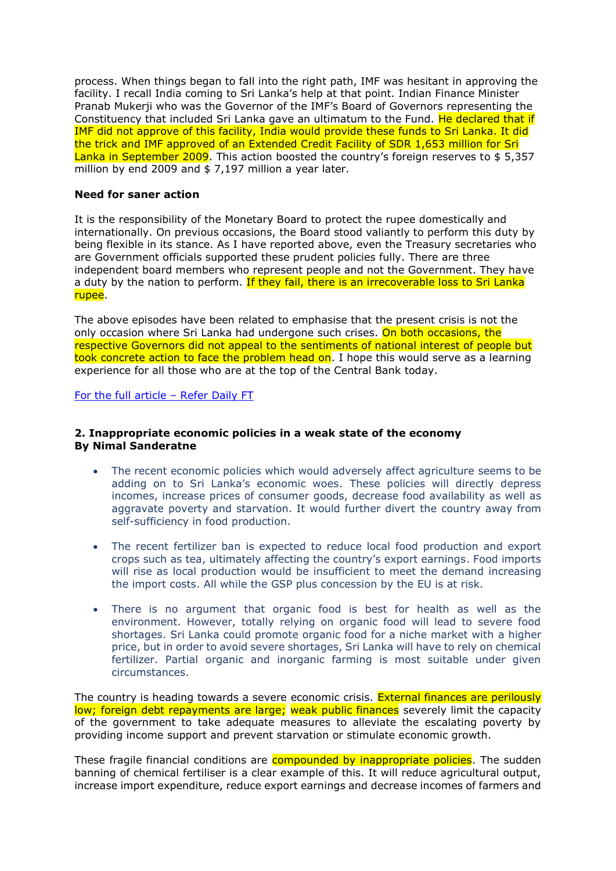process. When things began to fall into the right path, IMF was hesitant in approving the facility. I recall India coming to Sri Lanka's help at that point. Indian Finance Minister Pranab Mukerji who was the Governor of the IMF's Board of Governors representing the Constituency that included Sri Lanka gave an ultimatum to the Fund. He declared that if IMF did not approve of this facility, India would provide these funds to Sri Lanka. It did the trick and IMF approved of an Extended Credit Facility of SDR 1,653 million for Sri Lanka in September 2009. This action boosted the country's foreign reserves to \$5.357 million by end 2009 and \$ 7,197 million a year later.

## **Need for saner action**

It is the responsibility of the Monetary Board to protect the rupee domestically and internationally. On previous occasions, the Board stood valiantly to perform this duty by being flexible in its stance. As I have reported above, even the Treasury secretaries who are Government officials supported these prudent policies fully. There are three independent board members who represent people and not the Government. They have a duty by the nation to perform. If they fail, there is an irrecoverable loss to Sri Lanka rupee.

The above episodes have been related to emphasise that the present crisis is not the only occasion where Sri Lanka had undergone such crises. On both occasions, the respective Governors did not appeal to the sentiments of national interest of people but took concrete action to face the problem head on. I hope this would serve as a learning experience for all those who are at the top of the Central Bank today.

[For the full article](https://www.ft.lk/opinion/Forex-crisis-plea-for-calmness-in-national-interest-and-need-for-getting-IMF-driven-bailout/14-719992) – Refer Daily FT

## **2. Inappropriate economic policies in a weak state of the economy By Nimal Sanderatne**

- The recent economic policies which would adversely affect agriculture seems to be adding on to Sri Lanka's economic woes. These policies will directly depress incomes, increase prices of consumer goods, decrease food availability as well as aggravate poverty and starvation. It would further divert the country away from self-sufficiency in food production.
- The recent fertilizer ban is expected to reduce local food production and export crops such as tea, ultimately affecting the country's export earnings. Food imports will rise as local production would be insufficient to meet the demand increasing the import costs. All while the GSP plus concession by the EU is at risk.
- There is no argument that organic food is best for health as well as the environment. However, totally relying on organic food will lead to severe food shortages. Sri Lanka could promote organic food for a niche market with a higher price, but in order to avoid severe shortages, Sri Lanka will have to rely on chemical fertilizer. Partial organic and inorganic farming is most suitable under given circumstances.

The country is heading towards a severe economic crisis. External finances are perilously low; foreign debt repayments are large; weak public finances severely limit the capacity of the government to take adequate measures to alleviate the escalating poverty by providing income support and prevent starvation or stimulate economic growth.

These fragile financial conditions are **compounded by inappropriate policies**. The sudden banning of chemical fertiliser is a clear example of this. It will reduce agricultural output, increase import expenditure, reduce export earnings and decrease incomes of farmers and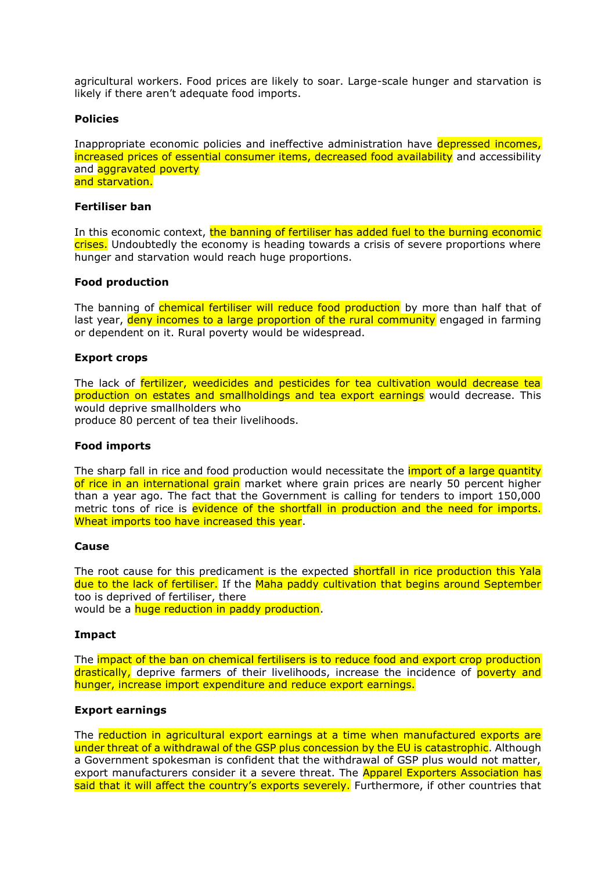agricultural workers. Food prices are likely to soar. Large-scale hunger and starvation is likely if there aren't adequate food imports.

## **Policies**

Inappropriate economic policies and ineffective administration have depressed incomes, increased prices of essential consumer items, decreased food availability and accessibility and **aggravated** poverty and starvation.

#### **Fertiliser ban**

In this economic context, the banning of fertiliser has added fuel to the burning economic crises. Undoubtedly the economy is heading towards a crisis of severe proportions where hunger and starvation would reach huge proportions.

#### **Food production**

The banning of chemical fertiliser will reduce food production by more than half that of last year, deny incomes to a large proportion of the rural community engaged in farming or dependent on it. Rural poverty would be widespread.

## **Export crops**

The lack of fertilizer, weedicides and pesticides for tea cultivation would decrease tea production on estates and smallholdings and tea export earnings would decrease. This would deprive smallholders who produce 80 percent of tea their livelihoods.

#### **Food imports**

The sharp fall in rice and food production would necessitate the *import of a large quantity* of rice in an international grain market where grain prices are nearly 50 percent higher than a year ago. The fact that the Government is calling for tenders to import 150,000 metric tons of rice is evidence of the shortfall in production and the need for imports. Wheat imports too have increased this year.

#### **Cause**

The root cause for this predicament is the expected **shortfall in rice production this Yala** due to the lack of fertiliser. If the Maha paddy cultivation that begins around September too is deprived of fertiliser, there

would be a **huge reduction in paddy production**.

## **Impact**

The impact of the ban on chemical fertilisers is to reduce food and export crop production drastically, deprive farmers of their livelihoods, increase the incidence of poverty and hunger, increase import expenditure and reduce export earnings.

#### **Export earnings**

The reduction in agricultural export earnings at a time when manufactured exports are under threat of a withdrawal of the GSP plus concession by the EU is catastrophic. Although a Government spokesman is confident that the withdrawal of GSP plus would not matter, export manufacturers consider it a severe threat. The **Apparel Exporters Association has** said that it will affect the country's exports severely. Furthermore, if other countries that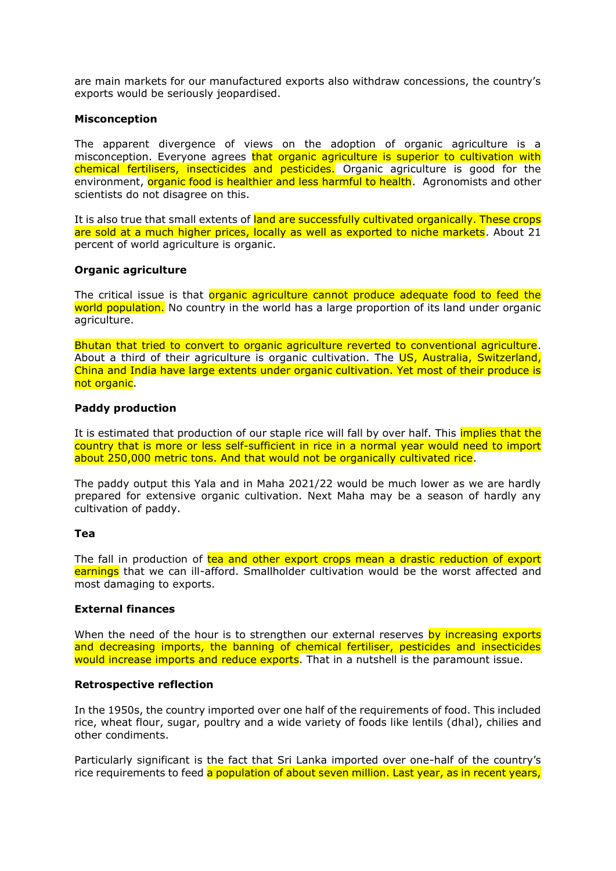are main markets for our manufactured exports also withdraw concessions, the country's exports would be seriously jeopardised.

## **Misconception**

The apparent divergence of views on the adoption of organic agriculture is a misconception. Everyone agrees that organic agriculture is superior to cultivation with chemical fertilisers, insecticides and pesticides. Organic agriculture is good for the environment, organic food is healthier and less harmful to health. Agronomists and other scientists do not disagree on this.

It is also true that small extents of land are successfully cultivated organically. These crops are sold at a much higher prices, locally as well as exported to niche markets. About 21 percent of world agriculture is organic.

## **Organic agriculture**

The critical issue is that organic agriculture cannot produce adequate food to feed the world population. No country in the world has a large proportion of its land under organic agriculture.

Bhutan that tried to convert to organic agriculture reverted to conventional agriculture. About a third of their agriculture is organic cultivation. The US, Australia, Switzerland, China and India have large extents under organic cultivation. Yet most of their produce is not organic.

## **Paddy production**

It is estimated that production of our staple rice will fall by over half. This implies that the country that is more or less self-sufficient in rice in a normal year would need to import about 250,000 metric tons. And that would not be organically cultivated rice.

The paddy output this Yala and in Maha 2021/22 would be much lower as we are hardly prepared for extensive organic cultivation. Next Maha may be a season of hardly any cultivation of paddy.

#### **Tea**

The fall in production of tea and other export crops mean a drastic reduction of export earnings that we can ill-afford. Smallholder cultivation would be the worst affected and most damaging to exports.

## **External finances**

When the need of the hour is to strengthen our external reserves by increasing exports and decreasing imports, the banning of chemical fertiliser, pesticides and insecticides would increase imports and reduce exports. That in a nutshell is the paramount issue.

#### **Retrospective reflection**

In the 1950s, the country imported over one half of the requirements of food. This included rice, wheat flour, sugar, poultry and a wide variety of foods like lentils (dhal), chilies and other condiments.

Particularly significant is the fact that Sri Lanka imported over one-half of the country's rice requirements to feed a population of about seven million. Last year, as in recent years,